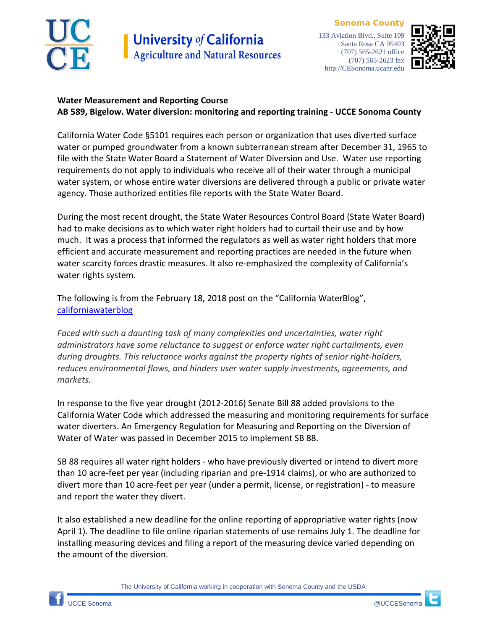

**Sonoma County** 133 Aviation Blvd., Suite 109 Santa Rosa CA 95403 (707) 565-2621 office (707) 565-2623 fax http://CESonoma.ucanr.edu



## **Water Measurement and Reporting Course AB 589, Bigelow. Water diversion: monitoring and reporting training - UCCE Sonoma County**

California Water Code §5101 requires each person or organization that uses diverted surface water or pumped groundwater from a known subterranean stream after December 31, 1965 to file with the State Water Board a Statement of Water Diversion and Use. Water use reporting requirements do not apply to individuals who receive all of their water through a municipal water system, or whose entire water diversions are delivered through a public or private water agency. Those authorized entities file reports with the State Water Board.

During the most recent drought, the State Water Resources Control Board (State Water Board) had to make decisions as to which water right holders had to curtail their use and by how much. It was a process that informed the regulators as well as water right holders that more efficient and accurate measurement and reporting practices are needed in the future when water scarcity forces drastic measures. It also re-emphasized the complexity of California's water rights system.

The following is from the February 18, 2018 post on the "California WaterBlog", [californiawaterblog](https://californiawaterblog.com/)

*Faced with such a daunting task of many complexities and uncertainties, water right administrators have some reluctance to suggest or enforce water right curtailments, even during droughts. This reluctance works against the property rights of senior right-holders, reduces environmental flows, and hinders user water supply investments, agreements, and markets.*

In response to the five year drought (2012-2016) Senate Bill 88 added provisions to the California Water Code which addressed the measuring and monitoring requirements for surface water diverters. An Emergency Regulation for Measuring and Reporting on the Diversion of Water of Water was passed in December 2015 to implement SB 88.

SB 88 requires all water right holders - who have previously diverted or intend to divert more than 10 acre-feet per year (including riparian and pre-1914 claims), or who are authorized to divert more than 10 acre-feet per year (under a permit, license, or registration) - to measure and report the water they divert.

It also established a new deadline for the online reporting of appropriative water rights (now April 1). The deadline to file online riparian statements of use remains July 1. The deadline for installing measuring devices and filing a report of the measuring device varied depending on the amount of the diversion.

The University of California working in cooperation with Sonoma County and the USDA